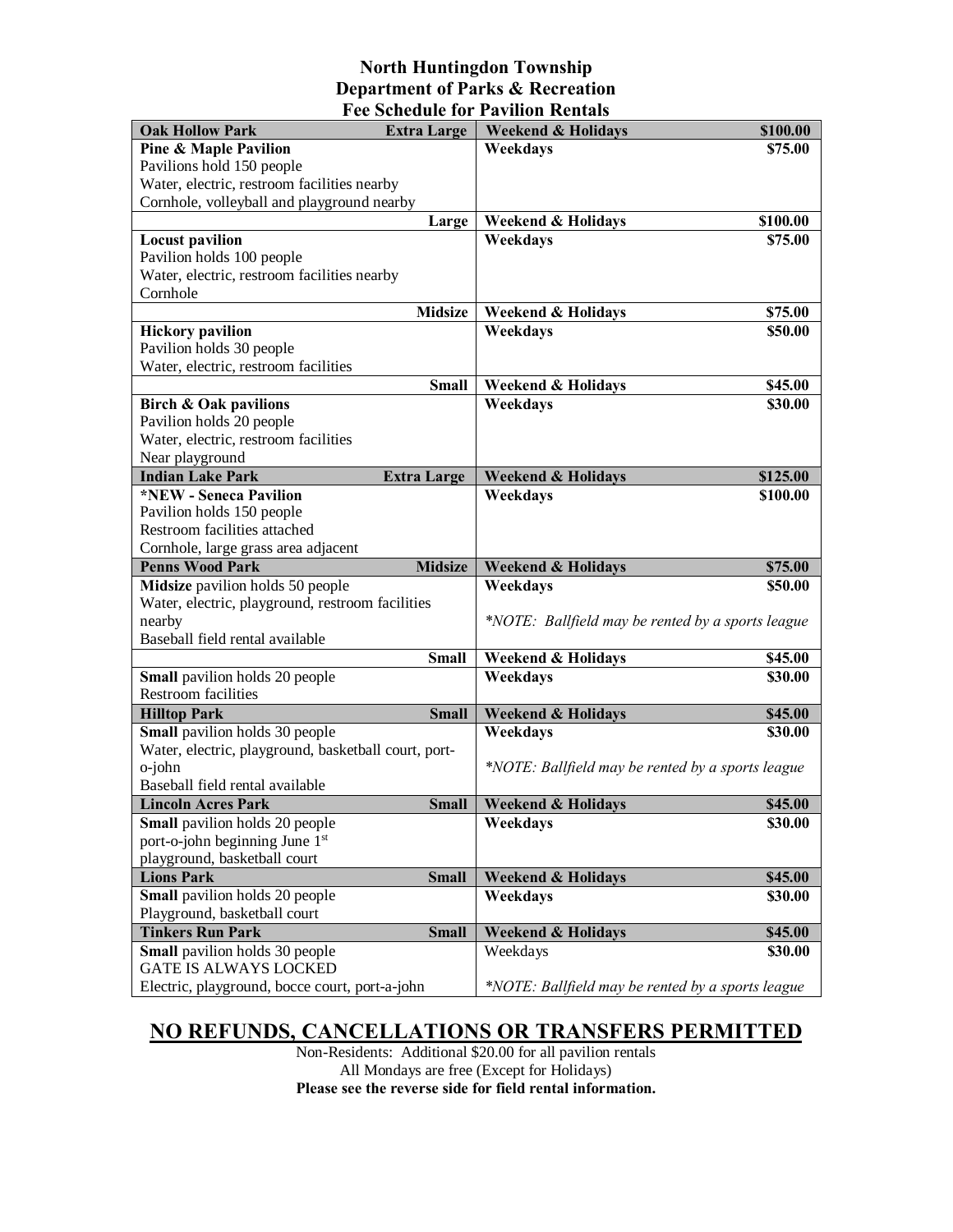## **North Huntingdon Township Department of Parks & Recreation Fee Schedule for Pavilion Rentals**

| <b>Oak Hollow Park</b>                                                         | <b>Extra Large</b> | <b>Weekend &amp; Holidays</b>                     | \$100.00           |
|--------------------------------------------------------------------------------|--------------------|---------------------------------------------------|--------------------|
| <b>Pine &amp; Maple Pavilion</b>                                               |                    | Weekdays                                          | \$75.00            |
| Pavilions hold 150 people                                                      |                    |                                                   |                    |
| Water, electric, restroom facilities nearby                                    |                    |                                                   |                    |
| Cornhole, volleyball and playground nearby                                     |                    |                                                   |                    |
|                                                                                | Large              | <b>Weekend &amp; Holidays</b>                     | \$100.00           |
| <b>Locust pavilion</b>                                                         |                    | Weekdays                                          | \$75.00            |
| Pavilion holds 100 people                                                      |                    |                                                   |                    |
| Water, electric, restroom facilities nearby                                    |                    |                                                   |                    |
| Cornhole                                                                       | <b>Midsize</b>     | <b>Weekend &amp; Holidays</b>                     | \$75.00            |
| <b>Hickory pavilion</b>                                                        |                    | Weekdays                                          | \$50.00            |
| Pavilion holds 30 people                                                       |                    |                                                   |                    |
| Water, electric, restroom facilities                                           |                    |                                                   |                    |
|                                                                                | <b>Small</b>       | <b>Weekend &amp; Holidays</b>                     | \$45.00            |
| <b>Birch &amp; Oak pavilions</b>                                               |                    | Weekdays                                          | \$30.00            |
| Pavilion holds 20 people                                                       |                    |                                                   |                    |
| Water, electric, restroom facilities                                           |                    |                                                   |                    |
| Near playground                                                                |                    |                                                   |                    |
| <b>Indian Lake Park</b>                                                        | <b>Extra Large</b> | <b>Weekend &amp; Holidays</b>                     | \$125.00           |
| <i><b>*NEW - Seneca Pavilion</b></i>                                           |                    | Weekdays                                          | \$100.00           |
| Pavilion holds 150 people                                                      |                    |                                                   |                    |
| Restroom facilities attached                                                   |                    |                                                   |                    |
| Cornhole, large grass area adjacent                                            |                    |                                                   |                    |
|                                                                                |                    |                                                   |                    |
| <b>Penns Wood Park</b>                                                         | <b>Midsize</b>     | <b>Weekend &amp; Holidays</b>                     | \$75.00            |
| Midsize pavilion holds 50 people                                               |                    | Weekdays                                          | \$50.00            |
| Water, electric, playground, restroom facilities                               |                    |                                                   |                    |
| nearby                                                                         |                    | *NOTE: Ballfield may be rented by a sports league |                    |
| Baseball field rental available                                                |                    |                                                   |                    |
|                                                                                | <b>Small</b>       | <b>Weekend &amp; Holidays</b>                     | \$45.00            |
| Small pavilion holds 20 people<br><b>Restroom</b> facilities                   |                    | Weekdays                                          | \$30.00            |
|                                                                                | <b>Small</b>       |                                                   |                    |
| <b>Hilltop Park</b><br>Small pavilion holds 30 people                          |                    | <b>Weekend &amp; Holidays</b><br>Weekdays         | \$45.00<br>\$30.00 |
| Water, electric, playground, basketball court, port-                           |                    |                                                   |                    |
| o-john                                                                         |                    | *NOTE: Ballfield may be rented by a sports league |                    |
| Baseball field rental available                                                |                    |                                                   |                    |
| <b>Lincoln Acres Park</b>                                                      | <b>Small</b>       | <b>Weekend &amp; Holidays</b>                     | \$45.00            |
| <b>Small</b> pavilion holds 20 people                                          |                    | Weekdays                                          | \$30.00            |
| port-o-john beginning June 1st                                                 |                    |                                                   |                    |
| playground, basketball court                                                   |                    |                                                   |                    |
| <b>Lions Park</b>                                                              | <b>Small</b>       | <b>Weekend &amp; Holidays</b>                     | \$45.00            |
| <b>Small</b> pavilion holds 20 people                                          |                    | Weekdays                                          | \$30.00            |
| Playground, basketball court                                                   |                    |                                                   |                    |
| <b>Tinkers Run Park</b>                                                        | <b>Small</b>       | <b>Weekend &amp; Holidays</b>                     | \$45.00            |
| Small pavilion holds 30 people                                                 |                    | Weekdays                                          | \$30.00            |
| <b>GATE IS ALWAYS LOCKED</b><br>Electric, playground, bocce court, port-a-john |                    | *NOTE: Ballfield may be rented by a sports league |                    |

## **NO REFUNDS, CANCELLATIONS OR TRANSFERS PERMITTED**

Non-Residents: Additional \$20.00 for all pavilion rentals All Mondays are free (Except for Holidays) **Please see the reverse side for field rental information.**